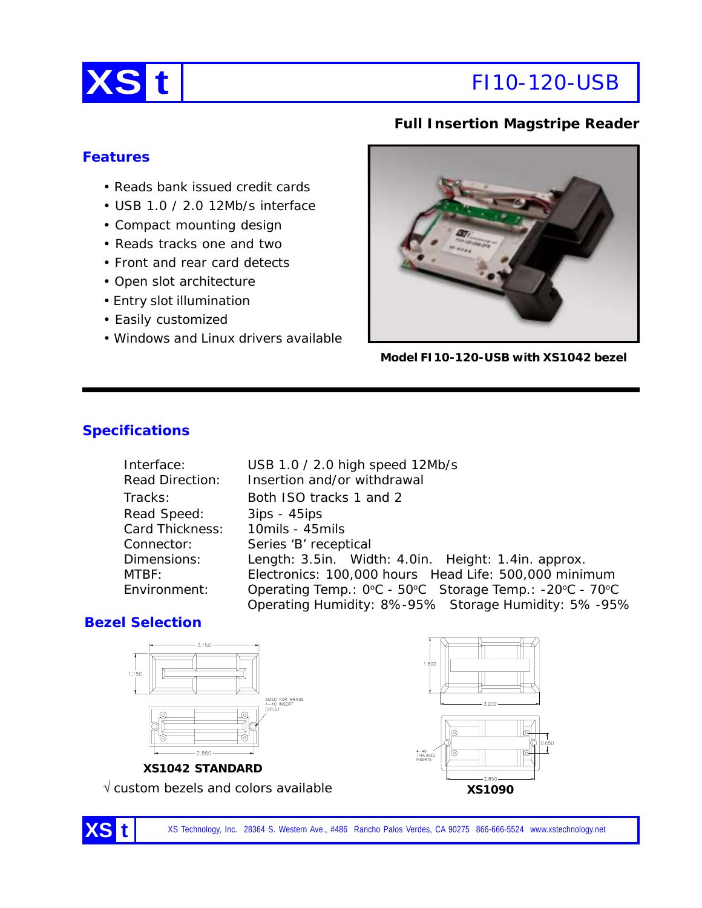

# **XS t** FI10-120-USB

# **Full Insertion Magstripe Reader**

# **Features**

- Reads bank issued credit cards
- USB 1.0 / 2.0 12Mb/s interface
- Compact mounting design
- Reads tracks one and two
- Front and rear card detects
- Open slot architecture
- Entry slot illumination
- Easily customized
- Windows and Linux drivers available



**Model FI10-120-USB with XS1042 bezel**

# **Specifications**

| Interface:             | USB 1.0 / 2.0 high speed 12Mb/s                         |  |
|------------------------|---------------------------------------------------------|--|
| <b>Read Direction:</b> | Insertion and/or withdrawal                             |  |
| Tracks:                | Both ISO tracks 1 and 2                                 |  |
| Read Speed:            | $3ips - 45ips$                                          |  |
| Card Thickness:        | 10mils - 45mils                                         |  |
| Connector:             | Series 'B' receptical                                   |  |
| Dimensions:            | Length: 3.5in. Width: 4.0in. Height: 1.4in. approx.     |  |
| MTBF:                  | Electronics: 100,000 hours Head Life: 500,000 minimum   |  |
| Environment:           | Operating Temp.: 0°C - 50°C Storage Temp.: -20°C - 70°C |  |
|                        | Operating Humidity: 8%-95% Storage Humidity: 5%-95%     |  |

### **Bezel Selection**





√ custom bezels and colors available